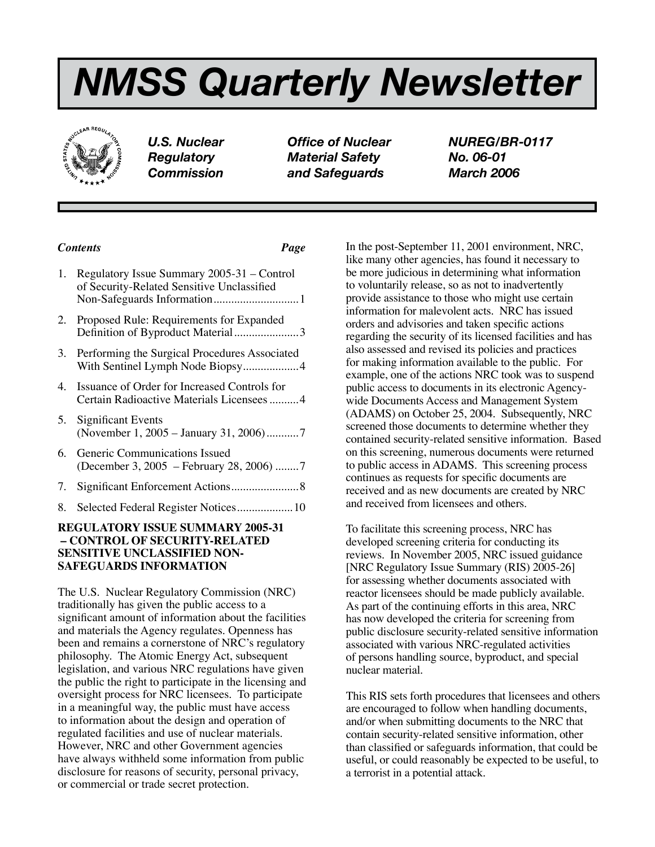# *NMSS Quarterly Newsletter*



*U.S. Nuclear Office of Nuclear NUREG/BR-0117 Regulatory Material Safety No. 06-01 Commission and Safeguards March 2006*

# *Contents Page*

|    | Regulatory Issue Summary 2005-31 – Control<br>of Security-Related Sensitive Unclassified     |
|----|----------------------------------------------------------------------------------------------|
| 2. | Proposed Rule: Requirements for Expanded<br>Definition of Byproduct Material3                |
|    | 3. Performing the Surgical Procedures Associated                                             |
|    | 4. Issuance of Order for Increased Controls for<br>Certain Radioactive Materials Licensees 4 |
| 5. | <b>Significant Events</b><br>(November 1, 2005 – January 31, 2006)7                          |

- 6. Generic Communications Issued (December 3, 2005 – February 28, 2006) ........7
- 7. Significant Enforcement Actions.......................8
- 8. Selected Federal Register Notices....................10

# **REGULATORY ISSUE SUMMARY 2005-31 – CONTROL OF SECURITY-RELATED SENSITIVE UNCLASSIFIED NON-SAFEGUARDS INFORMATION**

The U.S. Nuclear Regulatory Commission (NRC) traditionally has given the public access to a significant amount of information about the facilities and materials the Agency regulates. Openness has been and remains a cornerstone of NRC's regulatory philosophy. The Atomic Energy Act, subsequent legislation, and various NRC regulations have given the public the right to participate in the licensing and oversight process for NRC licensees. To participate in a meaningful way, the public must have access to information about the design and operation of regulated facilities and use of nuclear materials. However, NRC and other Government agencies have always withheld some information from public disclosure for reasons of security, personal privacy, or commercial or trade secret protection. 

In the post-September 11, 2001 environment, NRC, like many other agencies, has found it necessary to be more judicious in determining what information to voluntarily release, so as not to inadvertently provide assistance to those who might use certain information for malevolent acts. NRC has issued orders and advisories and taken specific actions regarding the security of its licensed facilities and has also assessed and revised its policies and practices for making information available to the public. For example, one of the actions NRC took was to suspend public access to documents in its electronic Agencywide Documents Access and Management System (ADAMS) on October 25, 2004. Subsequently, NRC screened those documents to determine whether they contained security-related sensitive information. Based on this screening, numerous documents were returned to public access in ADAMS. This screening process continues as requests for specific documents are received and as new documents are created by NRC and received from licensees and others.

To facilitate this screening process, NRC has developed screening criteria for conducting its reviews. In November 2005, NRC issued guidance [NRC Regulatory Issue Summary (RIS) 2005-26] for assessing whether documents associated with reactor licensees should be made publicly available. As part of the continuing efforts in this area, NRC has now developed the criteria for screening from public disclosure security-related sensitive information associated with various NRC-regulated activities of persons handling source, byproduct, and special nuclear material.

This RIS sets forth procedures that licensees and others are encouraged to follow when handling documents, and/or when submitting documents to the NRC that contain security-related sensitive information, other than classified or safeguards information, that could be useful, or could reasonably be expected to be useful, to a terrorist in a potential attack.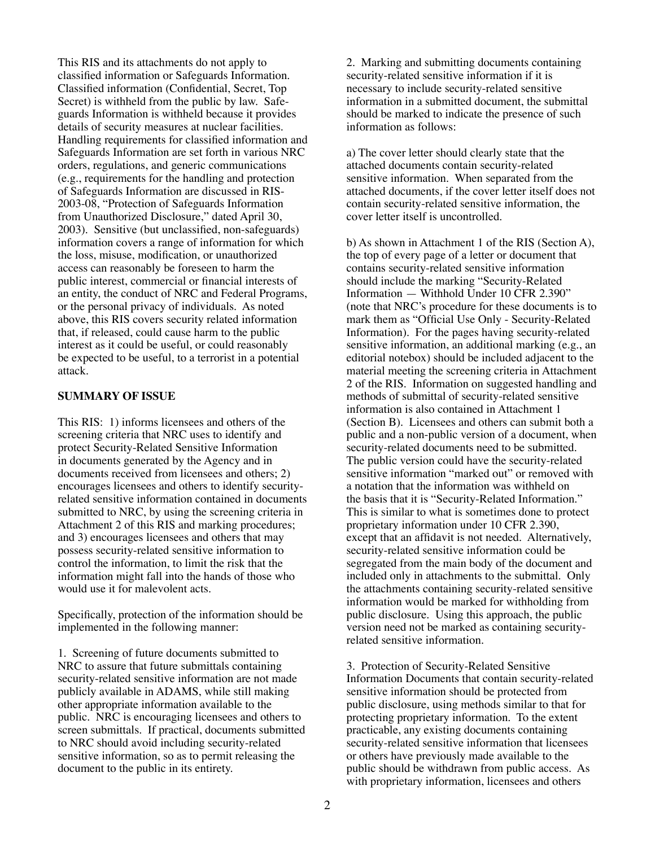This RIS and its attachments do not apply to classified information or Safeguards Information. Classified information (Confidential, Secret, Top Secret) is withheld from the public by law. Safeguards Information is withheld because it provides details of security measures at nuclear facilities. Handling requirements for classified information and Safeguards Information are set forth in various NRC orders, regulations, and generic communications (e.g., requirements for the handling and protection of Safeguards Information are discussed in RIS-2003-08, "Protection of Safeguards Information from Unauthorized Disclosure," dated April 30, 2003). Sensitive (but unclassified, non-safeguards) information covers a range of information for which the loss, misuse, modification, or unauthorized access can reasonably be foreseen to harm the public interest, commercial or financial interests of an entity, the conduct of NRC and Federal Programs, or the personal privacy of individuals. As noted above, this RIS covers security related information that, if released, could cause harm to the public interest as it could be useful, or could reasonably be expected to be useful, to a terrorist in a potential attack.

#### **SUMMARY OF ISSUE**

This RIS: 1) informs licensees and others of the screening criteria that NRC uses to identify and protect Security-Related Sensitive Information in documents generated by the Agency and in documents received from licensees and others; 2) encourages licensees and others to identify securityrelated sensitive information contained in documents submitted to NRC, by using the screening criteria in Attachment 2 of this RIS and marking procedures; and 3) encourages licensees and others that may possess security-related sensitive information to control the information, to limit the risk that the information might fall into the hands of those who would use it for malevolent acts.

Specifically, protection of the information should be implemented in the following manner:

1. Screening of future documents submitted to NRC to assure that future submittals containing security-related sensitive information are not made publicly available in ADAMS, while still making other appropriate information available to the public. NRC is encouraging licensees and others to screen submittals. If practical, documents submitted to NRC should avoid including security-related sensitive information, so as to permit releasing the document to the public in its entirety.

2. Marking and submitting documents containing security-related sensitive information if it is necessary to include security-related sensitive information in a submitted document, the submittal should be marked to indicate the presence of such information as follows:

a) The cover letter should clearly state that the attached documents contain security-related sensitive information. When separated from the attached documents, if the cover letter itself does not contain security-related sensitive information, the cover letter itself is uncontrolled.

b) As shown in Attachment 1 of the RIS (Section A), the top of every page of a letter or document that contains security-related sensitive information should include the marking "Security-Related Information — Withhold Under 10 CFR 2.390" (note that NRC's procedure for these documents is to mark them as "Official Use Only - Security-Related Information). For the pages having security-related sensitive information, an additional marking (e.g., an editorial notebox) should be included adjacent to the material meeting the screening criteria in Attachment 2 of the RIS. Information on suggested handling and methods of submittal of security-related sensitive information is also contained in Attachment 1 (Section B). Licensees and others can submit both a public and a non-public version of a document, when security-related documents need to be submitted. The public version could have the security-related sensitive information "marked out" or removed with a notation that the information was withheld on the basis that it is "Security-Related Information." This is similar to what is sometimes done to protect proprietary information under 10 CFR 2.390, except that an affidavit is not needed. Alternatively, security-related sensitive information could be segregated from the main body of the document and included only in attachments to the submittal. Only the attachments containing security-related sensitive information would be marked for withholding from public disclosure. Using this approach, the public version need not be marked as containing securityrelated sensitive information.

3. Protection of Security-Related Sensitive Information Documents that contain security-related sensitive information should be protected from public disclosure, using methods similar to that for protecting proprietary information. To the extent practicable, any existing documents containing security-related sensitive information that licensees or others have previously made available to the public should be withdrawn from public access. As with proprietary information, licensees and others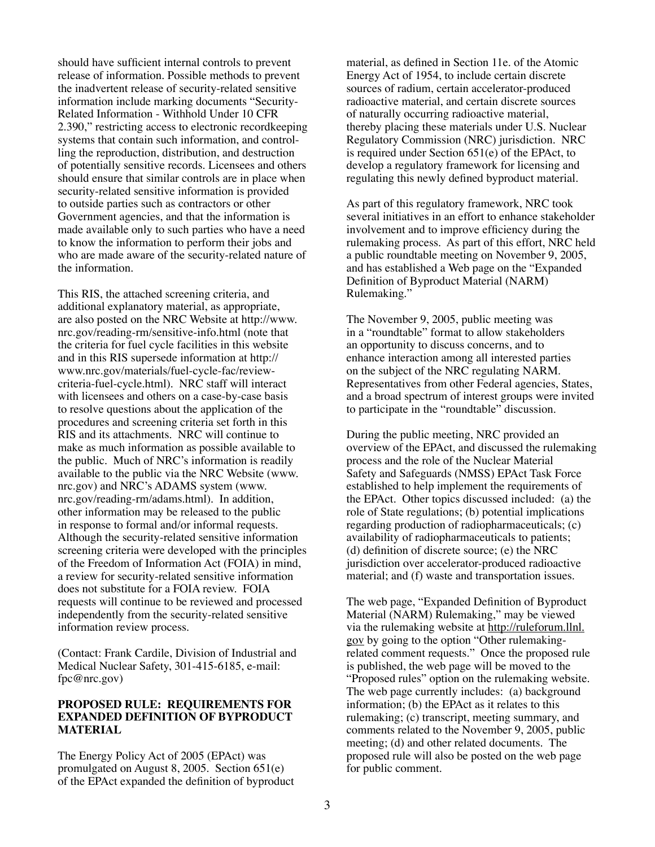should have sufficient internal controls to prevent release of information. Possible methods to prevent the inadvertent release of security-related sensitive information include marking documents "Security-Related Information - Withhold Under 10 CFR 2.390," restricting access to electronic recordkeeping systems that contain such information, and controlling the reproduction, distribution, and destruction of potentially sensitive records. Licensees and others should ensure that similar controls are in place when security-related sensitive information is provided to outside parties such as contractors or other Government agencies, and that the information is made available only to such parties who have a need to know the information to perform their jobs and who are made aware of the security-related nature of the information.

This RIS, the attached screening criteria, and additional explanatory material, as appropriate, are also posted on the NRC Website at http://www. nrc.gov/reading-rm/sensitive-info.html (note that the criteria for fuel cycle facilities in this website and in this RIS supersede information at http:// www.nrc.gov/materials/fuel-cycle-fac/reviewcriteria-fuel-cycle.html). NRC staff will interact with licensees and others on a case-by-case basis to resolve questions about the application of the procedures and screening criteria set forth in this RIS and its attachments. NRC will continue to make as much information as possible available to the public. Much of NRC's information is readily available to the public via the NRC Website (www. nrc.gov) and NRC's ADAMS system (www. nrc.gov/reading-rm/adams.html). In addition, other information may be released to the public in response to formal and/or informal requests. Although the security-related sensitive information screening criteria were developed with the principles of the Freedom of Information Act (FOIA) in mind, a review for security-related sensitive information does not substitute for a FOIA review. FOIA requests will continue to be reviewed and processed independently from the security-related sensitive information review process.

(Contact: Frank Cardile, Division of Industrial and Medical Nuclear Safety, 301-415-6185, e-mail: fpc@nrc.gov)

#### **PROPOSED RULE: REQUIREMENTS FOR EXPANDED DEFINITION OF BYPRODUCT MATERIAL**

The Energy Policy Act of 2005 (EPAct) was promulgated on August 8, 2005. Section 651(e) of the EPAct expanded the definition of byproduct material, as defined in Section 11e. of the Atomic Energy Act of 1954, to include certain discrete sources of radium, certain accelerator-produced radioactive material, and certain discrete sources of naturally occurring radioactive material, thereby placing these materials under U.S. Nuclear Regulatory Commission (NRC) jurisdiction. NRC is required under Section 651(e) of the EPAct, to develop a regulatory framework for licensing and regulating this newly defined byproduct material.

As part of this regulatory framework, NRC took several initiatives in an effort to enhance stakeholder involvement and to improve efficiency during the rulemaking process. As part of this effort, NRC held a public roundtable meeting on November 9, 2005, and has established a Web page on the "Expanded Definition of Byproduct Material (NARM) Rulemaking."

The November 9, 2005, public meeting was in a "roundtable" format to allow stakeholders an opportunity to discuss concerns, and to enhance interaction among all interested parties on the subject of the NRC regulating NARM. Representatives from other Federal agencies, States, and a broad spectrum of interest groups were invited to participate in the "roundtable" discussion.

During the public meeting, NRC provided an overview of the EPAct, and discussed the rulemaking process and the role of the Nuclear Material Safety and Safeguards (NMSS) EPAct Task Force established to help implement the requirements of the EPAct. Other topics discussed included: (a) the role of State regulations; (b) potential implications regarding production of radiopharmaceuticals; (c) availability of radiopharmaceuticals to patients; (d) definition of discrete source; (e) the NRC jurisdiction over accelerator-produced radioactive material; and (f) waste and transportation issues.

The web page, "Expanded Definition of Byproduct Material (NARM) Rulemaking," may be viewed via the rulemaking website at http://ruleforum.llnl. gov by going to the option "Other rulemakingrelated comment requests." Once the proposed rule is published, the web page will be moved to the "Proposed rules" option on the rulemaking website. The web page currently includes: (a) background information; (b) the EPAct as it relates to this rulemaking; (c) transcript, meeting summary, and comments related to the November 9, 2005, public meeting; (d) and other related documents. The proposed rule will also be posted on the web page for public comment.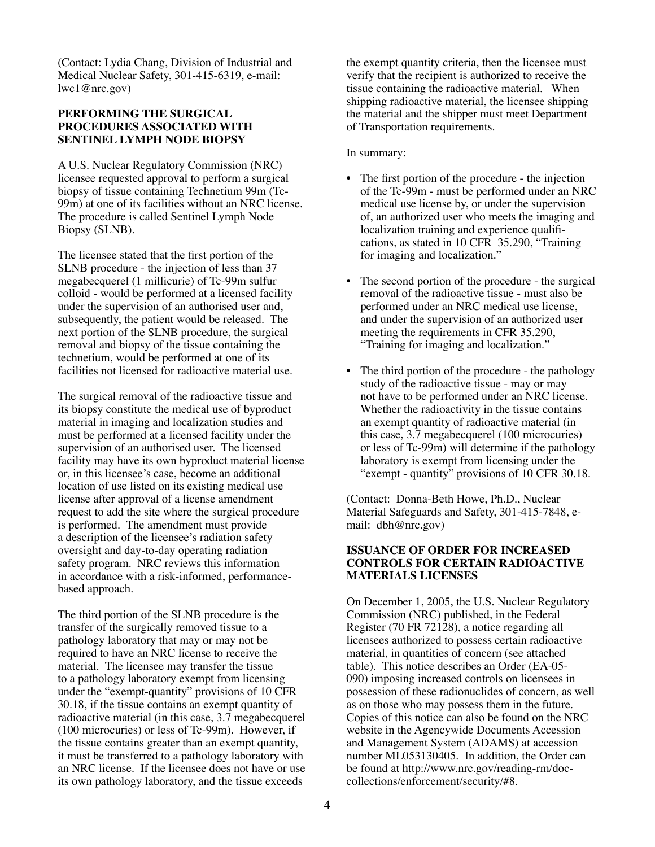(Contact: Lydia Chang, Division of Industrial and Medical Nuclear Safety, 301-415-6319, e-mail: lwc1@nrc.gov)

# **PERFORMING THE SURGICAL PROCEDURES ASSOCIATED WITH SENTINEL LYMPH NODE BIOPSY**

A U.S. Nuclear Regulatory Commission (NRC) licensee requested approval to perform a surgical biopsy of tissue containing Technetium 99m (Tc-99m) at one of its facilities without an NRC license. The procedure is called Sentinel Lymph Node Biopsy (SLNB).

The licensee stated that the first portion of the SLNB procedure - the injection of less than 37 megabecquerel (1 millicurie) of Tc-99m sulfur colloid - would be performed at a licensed facility under the supervision of an authorised user and, subsequently, the patient would be released. The next portion of the SLNB procedure, the surgical removal and biopsy of the tissue containing the technetium, would be performed at one of its facilities not licensed for radioactive material use.

The surgical removal of the radioactive tissue and its biopsy constitute the medical use of byproduct material in imaging and localization studies and must be performed at a licensed facility under the supervision of an authorised user. The licensed facility may have its own byproduct material license or, in this licensee's case, become an additional location of use listed on its existing medical use license after approval of a license amendment request to add the site where the surgical procedure is performed. The amendment must provide a description of the licensee's radiation safety oversight and day-to-day operating radiation safety program. NRC reviews this information in accordance with a risk-informed, performancebased approach.

The third portion of the SLNB procedure is the transfer of the surgically removed tissue to a pathology laboratory that may or may not be required to have an NRC license to receive the material. The licensee may transfer the tissue to a pathology laboratory exempt from licensing under the "exempt-quantity" provisions of 10 CFR 30.18, if the tissue contains an exempt quantity of radioactive material (in this case, 3.7 megabecquerel (100 microcuries) or less of Tc-99m). However, if the tissue contains greater than an exempt quantity, it must be transferred to a pathology laboratory with an NRC license. If the licensee does not have or use its own pathology laboratory, and the tissue exceeds

the exempt quantity criteria, then the licensee must verify that the recipient is authorized to receive the tissue containing the radioactive material. When shipping radioactive material, the licensee shipping the material and the shipper must meet Department of Transportation requirements.

# In summary:

- The first portion of the procedure the injection of the Tc-99m - must be performed under an NRC medical use license by, or under the supervision of, an authorized user who meets the imaging and localization training and experience qualifi- cations, as stated in 10 CFR 35.290, "Training for imaging and localization."
- The second portion of the procedure the surgical removal of the radioactive tissue - must also be performed under an NRC medical use license, and under the supervision of an authorized user meeting the requirements in CFR 35.290, "Training for imaging and localization."
- The third portion of the procedure the pathology study of the radioactive tissue - may or may not have to be performed under an NRC license. Whether the radioactivity in the tissue contains an exempt quantity of radioactive material (in this case, 3.7 megabecquerel (100 microcuries) or less of Tc-99m) will determine if the pathology laboratory is exempt from licensing under the "exempt - quantity" provisions of 10 CFR 30.18.

(Contact: Donna-Beth Howe, Ph.D., Nuclear Material Safeguards and Safety, 301-415-7848, email: dbh@nrc.gov)

# **ISSUANCE OF ORDER FOR INCREASED CONTROLS FOR CERTAIN RADIOACTIVE MATERIALS LICENSES**

On December 1, 2005, the U.S. Nuclear Regulatory Commission (NRC) published, in the Federal Register (70 FR 72128), a notice regarding all licensees authorized to possess certain radioactive material, in quantities of concern (see attached table). This notice describes an Order (EA-05- 090) imposing increased controls on licensees in possession of these radionuclides of concern, as well as on those who may possess them in the future. Copies of this notice can also be found on the NRC website in the Agencywide Documents Accession and Management System (ADAMS) at accession number ML053130405. In addition, the Order can be found at http://www.nrc.gov/reading-rm/doccollections/enforcement/security/#8.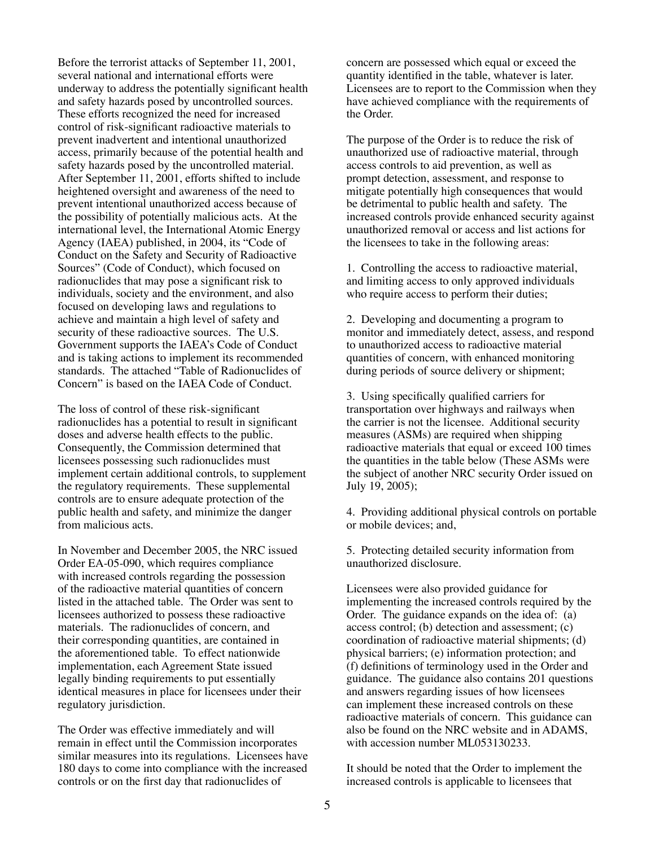Before the terrorist attacks of September 11, 2001, several national and international efforts were underway to address the potentially significant health and safety hazards posed by uncontrolled sources. These efforts recognized the need for increased control of risk-significant radioactive materials to prevent inadvertent and intentional unauthorized access, primarily because of the potential health and safety hazards posed by the uncontrolled material. After September 11, 2001, efforts shifted to include heightened oversight and awareness of the need to prevent intentional unauthorized access because of the possibility of potentially malicious acts. At the international level, the International Atomic Energy Agency (IAEA) published, in 2004, its "Code of Conduct on the Safety and Security of Radioactive Sources" (Code of Conduct), which focused on radionuclides that may pose a significant risk to individuals, society and the environment, and also focused on developing laws and regulations to achieve and maintain a high level of safety and security of these radioactive sources. The U.S. Government supports the IAEA's Code of Conduct and is taking actions to implement its recommended standards. The attached "Table of Radionuclides of Concern" is based on the IAEA Code of Conduct.

The loss of control of these risk-significant radionuclides has a potential to result in significant doses and adverse health effects to the public. Consequently, the Commission determined that licensees possessing such radionuclides must implement certain additional controls, to supplement the regulatory requirements. These supplemental controls are to ensure adequate protection of the public health and safety, and minimize the danger from malicious acts.

In November and December 2005, the NRC issued Order EA-05-090, which requires compliance with increased controls regarding the possession of the radioactive material quantities of concern listed in the attached table. The Order was sent to licensees authorized to possess these radioactive materials. The radionuclides of concern, and their corresponding quantities, are contained in the aforementioned table. To effect nationwide implementation, each Agreement State issued legally binding requirements to put essentially identical measures in place for licensees under their regulatory jurisdiction.

The Order was effective immediately and will remain in effect until the Commission incorporates similar measures into its regulations. Licensees have 180 days to come into compliance with the increased controls or on the first day that radionuclides of

concern are possessed which equal or exceed the quantity identified in the table, whatever is later. Licensees are to report to the Commission when they have achieved compliance with the requirements of the Order.

The purpose of the Order is to reduce the risk of unauthorized use of radioactive material, through access controls to aid prevention, as well as prompt detection, assessment, and response to mitigate potentially high consequences that would be detrimental to public health and safety. The increased controls provide enhanced security against unauthorized removal or access and list actions for the licensees to take in the following areas:

1. Controlling the access to radioactive material, and limiting access to only approved individuals who require access to perform their duties;

2. Developing and documenting a program to monitor and immediately detect, assess, and respond to unauthorized access to radioactive material quantities of concern, with enhanced monitoring during periods of source delivery or shipment;

3. Using specifically qualified carriers for transportation over highways and railways when the carrier is not the licensee. Additional security measures (ASMs) are required when shipping radioactive materials that equal or exceed 100 times the quantities in the table below (These ASMs were the subject of another NRC security Order issued on July 19, 2005);

4. Providing additional physical controls on portable or mobile devices; and,

5. Protecting detailed security information from unauthorized disclosure.

Licensees were also provided guidance for implementing the increased controls required by the Order. The guidance expands on the idea of: (a) access control; (b) detection and assessment; (c) coordination of radioactive material shipments; (d) physical barriers; (e) information protection; and (f) definitions of terminology used in the Order and guidance. The guidance also contains 201 questions and answers regarding issues of how licensees can implement these increased controls on these radioactive materials of concern. This guidance can also be found on the NRC website and in ADAMS, with accession number ML053130233.

It should be noted that the Order to implement the increased controls is applicable to licensees that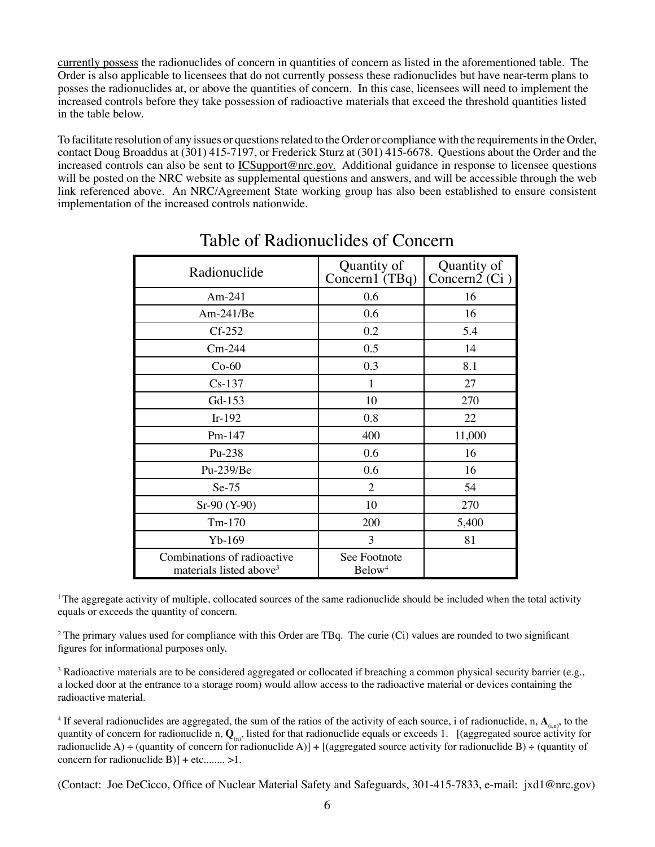currently possess the radionuclides of concern in quantities of concern as listed in the aforementioned table. The Order is also applicable to licensees that do not currently possess these radionuclides but have near-term plans to posses the radionuclides at, or above the quantities of concern. In this case, licensees will need to implement the increased controls before they take possession of radioactive materials that exceed the threshold quantities listed in the table below.

To facilitate resolution of any issues or questionsrelated to the Order or compliance with the requirementsin the Order, contact Doug Broaddus at (301) 415-7197, or Frederick Sturz at (301) 415-6678. Questions about the Order and the increased controls can also be sent to ICSupport@nrc.gov. Additional guidance in response to licensee questions will be posted on the NRC website as supplemental questions and answers, and will be accessible through the web link referenced above. An NRC/Agreement State working group has also been established to ensure consistent implementation of the increased controls nationwide.

| Radionuclide                                                       | Quantity of<br>Concern1 $(TBq)$    | Quantity of<br>Concern $2$ <sup>(Ci)</sup> |
|--------------------------------------------------------------------|------------------------------------|--------------------------------------------|
| Am- $241$                                                          | 0.6                                | 16                                         |
| $Am-241/Be$                                                        | 0.6                                | 16                                         |
| $Cf-252$                                                           | 0.2                                | 5.4                                        |
| $Cm-244$                                                           | 0.5                                | 14                                         |
| $Co-60$                                                            | 0.3                                | 8.1                                        |
| $Cs-137$                                                           | $\mathbf{1}$                       | 27                                         |
| Gd-153                                                             | 10                                 | 270                                        |
| $Ir-192$                                                           | 0.8                                | 22                                         |
| Pm-147                                                             | 400                                | 11,000                                     |
| Pu-238                                                             | 0.6                                | 16                                         |
| Pu-239/Be                                                          | 0.6                                | 16                                         |
| $Se-75$                                                            | 2                                  | 54                                         |
| Sr-90 (Y-90)                                                       | 10                                 | 270                                        |
| $Tm-170$                                                           | 200                                | 5,400                                      |
| $Yb-169$                                                           | 3                                  | 81                                         |
| Combinations of radioactive<br>materials listed above <sup>3</sup> | See Footnote<br>Below <sup>4</sup> |                                            |

# Table of Radionuclides of Concern

 $1$ The aggregate activity of multiple, collocated sources of the same radionuclide should be included when the total activity equals or exceeds the quantity of concern.

<sup>2</sup> The primary values used for compliance with this Order are TBq. The curie (Ci) values are rounded to two significant figures for informational purposes only.

<sup>3</sup> Radioactive materials are to be considered aggregated or collocated if breaching a common physical security barrier (e.g., a locked door at the entrance to a storage room) would allow access to the radioactive material or devices containing the radioactive material.

<sup>4</sup> If several radionuclides are aggregated, the sum of the ratios of the activity of each source, i of radionuclide, n,  $\mathbf{A}_{(in)}$ , to the quantity of concern for radionuclide n,  $Q_{(n)}$ , listed for that radionuclide equals or exceeds 1. [(aggregated source activity for radionuclide A) ÷ (quantity of concern for radionuclide A)] + [(aggregated source activity for radionuclide B) ÷ (quantity of concern for radionuclide  $B$ )] + etc........ >1.

(Contact: Joe DeCicco, Office of Nuclear Material Safety and Safeguards, 301-415-7833, e-mail: jxd1@nrc.gov)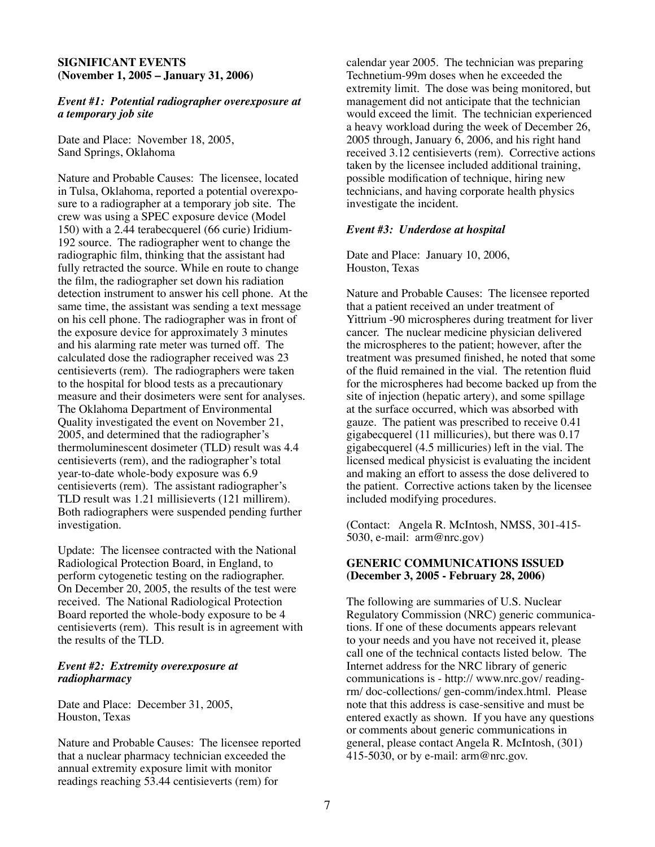#### **SIGNIFICANT EVENTS (November 1, 2005 – January 31, 2006)**

#### *Event #1: Potential radiographer overexposure at a temporary job site*

Date and Place: November 18, 2005, Sand Springs, Oklahoma

Nature and Probable Causes: The licensee, located in Tulsa, Oklahoma, reported a potential overexposure to a radiographer at a temporary job site. The crew was using a SPEC exposure device (Model 150) with a 2.44 terabecquerel (66 curie) Iridium-192 source. The radiographer went to change the radiographic film, thinking that the assistant had fully retracted the source. While en route to change the film, the radiographer set down his radiation detection instrument to answer his cell phone. At the same time, the assistant was sending a text message on his cell phone. The radiographer was in front of the exposure device for approximately 3 minutes and his alarming rate meter was turned off. The calculated dose the radiographer received was 23 centisieverts (rem). The radiographers were taken to the hospital for blood tests as a precautionary measure and their dosimeters were sent for analyses. The Oklahoma Department of Environmental Quality investigated the event on November 21, 2005, and determined that the radiographer's thermoluminescent dosimeter (TLD) result was 4.4 centisieverts (rem), and the radiographer's total year-to-date whole-body exposure was 6.9 centisieverts (rem). The assistant radiographer's TLD result was 1.21 millisieverts (121 millirem). Both radiographers were suspended pending further investigation.

Update: The licensee contracted with the National Radiological Protection Board, in England, to perform cytogenetic testing on the radiographer. On December 20, 2005, the results of the test were received. The National Radiological Protection Board reported the whole-body exposure to be 4 centisieverts (rem). This result is in agreement with the results of the TLD.

#### *Event #2: Extremity overexposure at radiopharmacy*

Date and Place: December 31, 2005, Houston, Texas

Nature and Probable Causes: The licensee reported that a nuclear pharmacy technician exceeded the annual extremity exposure limit with monitor readings reaching 53.44 centisieverts (rem) for

calendar year 2005. The technician was preparing Technetium-99m doses when he exceeded the extremity limit. The dose was being monitored, but management did not anticipate that the technician would exceed the limit. The technician experienced a heavy workload during the week of December 26, 2005 through, January 6, 2006, and his right hand received 3.12 centisieverts (rem). Corrective actions taken by the licensee included additional training, possible modification of technique, hiring new technicians, and having corporate health physics investigate the incident.

#### *Event #3: Underdose at hospital*

Date and Place: January 10, 2006, Houston, Texas

Nature and Probable Causes: The licensee reported that a patient received an under treatment of Yittrium -90 microspheres during treatment for liver cancer. The nuclear medicine physician delivered the microspheres to the patient; however, after the treatment was presumed finished, he noted that some of the fluid remained in the vial. The retention fluid for the microspheres had become backed up from the site of injection (hepatic artery), and some spillage at the surface occurred, which was absorbed with gauze. The patient was prescribed to receive 0.41 gigabecquerel (11 millicuries), but there was 0.17 gigabecquerel (4.5 millicuries) left in the vial. The licensed medical physicist is evaluating the incident and making an effort to assess the dose delivered to the patient. Corrective actions taken by the licensee included modifying procedures.

(Contact: Angela R. McIntosh, NMSS, 301-415- 5030, e-mail: arm@nrc.gov)

#### **GENERIC COMMUNICATIONS ISSUED (December 3, 2005 - February 28, 2006)**

The following are summaries of U.S. Nuclear Regulatory Commission (NRC) generic communications. If one of these documents appears relevant to your needs and you have not received it, please call one of the technical contacts listed below. The Internet address for the NRC library of generic communications is - http:// www.nrc.gov/ readingrm/ doc-collections/ gen-comm/index.html. Please note that this address is case-sensitive and must be entered exactly as shown. If you have any questions or comments about generic communications in general, please contact Angela R. McIntosh, (301) 415-5030, or by e-mail:  $arm@nc.gov$ .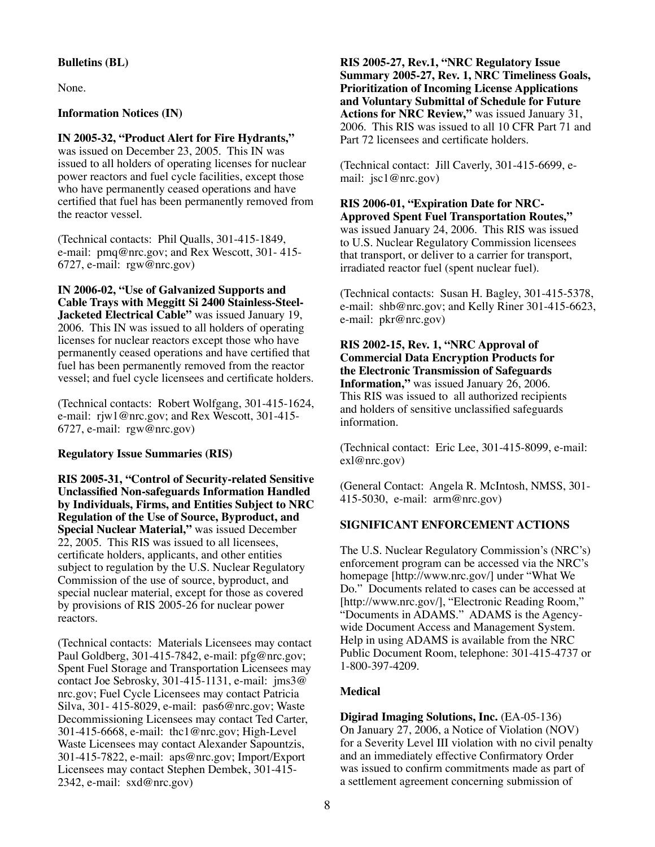# **Bulletins (BL)**

None.

# **Information Notices (IN)**

**IN 2005-32, "Product Alert for Fire Hydrants,"** was issued on December 23, 2005. This IN was issued to all holders of operating licenses for nuclear power reactors and fuel cycle facilities, except those who have permanently ceased operations and have certified that fuel has been permanently removed from the reactor vessel.

(Technical contacts: Phil Qualls, 301-415-1849, e-mail: pmq@nrc.gov; and Rex Wescott, 301- 415- 6727, e-mail: rgw@nrc.gov)

**IN 2006-02, "Use of Galvanized Supports and Cable Trays with Meggitt Si 2400 Stainless-Steel-Jacketed Electrical Cable"** was issued January 19, 2006. This IN was issued to all holders of operating licenses for nuclear reactors except those who have permanently ceased operations and have certified that fuel has been permanently removed from the reactor vessel; and fuel cycle licensees and certificate holders.

(Technical contacts: Robert Wolfgang, 301-415-1624, e-mail: rjw1@nrc.gov; and Rex Wescott, 301-415- 6727, e-mail: rgw@nrc.gov)

# **Regulatory Issue Summaries (RIS)**

**RIS 2005-31, "Control of Security-related Sensitive Unclassified Non-safeguards Information Handled by Individuals, Firms, and Entities Subject to NRC Regulation of the Use of Source, Byproduct, and Special Nuclear Material,"** was issued December 22, 2005. This RIS was issued to all licensees, certificate holders, applicants, and other entities subject to regulation by the U.S. Nuclear Regulatory Commission of the use of source, byproduct, and special nuclear material, except for those as covered by provisions of RIS 2005-26 for nuclear power reactors.

(Technical contacts: Materials Licensees may contact Paul Goldberg, 301-415-7842, e-mail: pfg@nrc.gov; Spent Fuel Storage and Transportation Licensees may contact Joe Sebrosky, 301-415-1131, e-mail: jms3@ nrc.gov; Fuel Cycle Licensees may contact Patricia Silva, 301- 415-8029, e-mail: pas6@nrc.gov; Waste Decommissioning Licensees may contact Ted Carter, 301-415-6668, e-mail: thc1@nrc.gov; High-Level Waste Licensees may contact Alexander Sapountzis, 301-415-7822, e-mail: aps@nrc.gov; Import/Export Licensees may contact Stephen Dembek, 301-415- 2342, e-mail: sxd@nrc.gov)

**RIS 2005-27, Rev.1, "NRC Regulatory Issue Summary 2005-27, Rev. 1, NRC Timeliness Goals, Prioritization of Incoming License Applications and Voluntary Submittal of Schedule for Future Actions for NRC Review,"** was issued January 31, 2006. This RIS was issued to all 10 CFR Part 71 and Part 72 licensees and certificate holders.

(Technical contact: Jill Caverly, 301-415-6699, email: jsc1@nrc.gov)

#### **RIS 2006-01, "Expiration Date for NRC-Approved Spent Fuel Transportation Routes,"**

was issued January 24, 2006. This RIS was issued to U.S. Nuclear Regulatory Commission licensees that transport, or deliver to a carrier for transport, irradiated reactor fuel (spent nuclear fuel).

(Technical contacts: Susan H. Bagley, 301-415-5378, e-mail: shb@nrc.gov; and Kelly Riner 301-415-6623, e-mail: pkr@nrc.gov)

#### **RIS 2002-15, Rev. 1, "NRC Approval of Commercial Data Encryption Products for the Electronic Transmission of Safeguards Information,"** was issued January 26, 2006. This RIS was issued to all authorized recipients and holders of sensitive unclassified safeguards information.

(Technical contact: Eric Lee, 301-415-8099, e-mail: exl@nrc.gov)

(General Contact: Angela R. McIntosh, NMSS, 301- 415-5030, e-mail: arm@nrc.gov)

# **SIGNIFICANT ENFORCEMENT ACTIONS**

The U.S. Nuclear Regulatory Commission's (NRC's) enforcement program can be accessed via the NRC's homepage [http://www.nrc.gov/] under "What We Do." Documents related to cases can be accessed at [http://www.nrc.gov/], "Electronic Reading Room," "Documents in ADAMS." ADAMS is the Agencywide Document Access and Management System. Help in using ADAMS is available from the NRC Public Document Room, telephone: 301-415-4737 or 1-800-397-4209.

# **Medical**

**Digirad Imaging Solutions, Inc.** (EA-05-136) On January 27, 2006, a Notice of Violation (NOV) for a Severity Level III violation with no civil penalty and an immediately effective Confirmatory Order was issued to confirm commitments made as part of a settlement agreement concerning submission of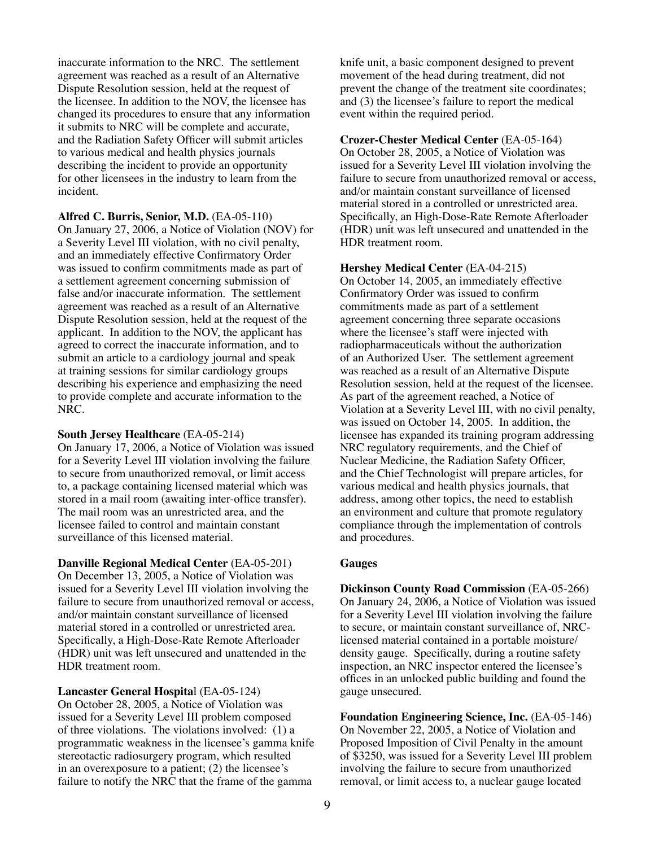inaccurate information to the NRC. The settlement agreement was reached as a result of an Alternative Dispute Resolution session, held at the request of the licensee. In addition to the NOV, the licensee has changed its procedures to ensure that any information it submits to NRC will be complete and accurate, and the Radiation Safety Officer will submit articles to various medical and health physics journals describing the incident to provide an opportunity for other licensees in the industry to learn from the incident.

**Alfred C. Burris, Senior, M.D.** (EA-05-110) On January 27, 2006, a Notice of Violation (NOV) for a Severity Level III violation, with no civil penalty, and an immediately effective Confirmatory Order was issued to confirm commitments made as part of a settlement agreement concerning submission of false and/or inaccurate information. The settlement agreement was reached as a result of an Alternative Dispute Resolution session, held at the request of the applicant. In addition to the NOV, the applicant has agreed to correct the inaccurate information, and to submit an article to a cardiology journal and speak at training sessions for similar cardiology groups describing his experience and emphasizing the need to provide complete and accurate information to the NRC.

#### **South Jersey Healthcare** (EA-05-214)

On January 17, 2006, a Notice of Violation was issued for a Severity Level III violation involving the failure to secure from unauthorized removal, or limit access to, a package containing licensed material which was stored in a mail room (awaiting inter-office transfer). The mail room was an unrestricted area, and the licensee failed to control and maintain constant surveillance of this licensed material.

**Danville Regional Medical Center** (EA-05-201) On December 13, 2005, a Notice of Violation was issued for a Severity Level III violation involving the failure to secure from unauthorized removal or access, and/or maintain constant surveillance of licensed material stored in a controlled or unrestricted area. Specifically, a High-Dose-Rate Remote Afterloader (HDR) unit was left unsecured and unattended in the HDR treatment room.

**Lancaster General Hospita**l (EA-05-124) On October 28, 2005, a Notice of Violation was issued for a Severity Level III problem composed of three violations. The violations involved: (1) a programmatic weakness in the licensee's gamma knife stereotactic radiosurgery program, which resulted in an overexposure to a patient; (2) the licensee's failure to notify the NRC that the frame of the gamma

knife unit, a basic component designed to prevent movement of the head during treatment, did not prevent the change of the treatment site coordinates; and (3) the licensee's failure to report the medical event within the required period.

**Crozer-Chester Medical Center** (EA-05-164) On October 28, 2005, a Notice of Violation was issued for a Severity Level III violation involving the failure to secure from unauthorized removal or access, and/or maintain constant surveillance of licensed material stored in a controlled or unrestricted area. Specifically, an High-Dose-Rate Remote Afterloader (HDR) unit was left unsecured and unattended in the HDR treatment room.

#### **Hershey Medical Center** (EA-04-215)

On October 14, 2005, an immediately effective Confirmatory Order was issued to confirm commitments made as part of a settlement agreement concerning three separate occasions where the licensee's staff were injected with radiopharmaceuticals without the authorization of an Authorized User. The settlement agreement was reached as a result of an Alternative Dispute Resolution session, held at the request of the licensee. As part of the agreement reached, a Notice of Violation at a Severity Level III, with no civil penalty, was issued on October 14, 2005. In addition, the licensee has expanded its training program addressing NRC regulatory requirements, and the Chief of Nuclear Medicine, the Radiation Safety Officer, and the Chief Technologist will prepare articles, for various medical and health physics journals, that address, among other topics, the need to establish an environment and culture that promote regulatory compliance through the implementation of controls and procedures.

#### **Gauges**

**Dickinson County Road Commission** (EA-05-266) On January 24, 2006, a Notice of Violation was issued for a Severity Level III violation involving the failure to secure, or maintain constant surveillance of, NRClicensed material contained in a portable moisture/ density gauge. Specifically, during a routine safety inspection, an NRC inspector entered the licensee's offices in an unlocked public building and found the gauge unsecured.

**Foundation Engineering Science, Inc.** (EA-05-146) On November 22, 2005, a Notice of Violation and Proposed Imposition of Civil Penalty in the amount of \$3250, was issued for a Severity Level III problem involving the failure to secure from unauthorized removal, or limit access to, a nuclear gauge located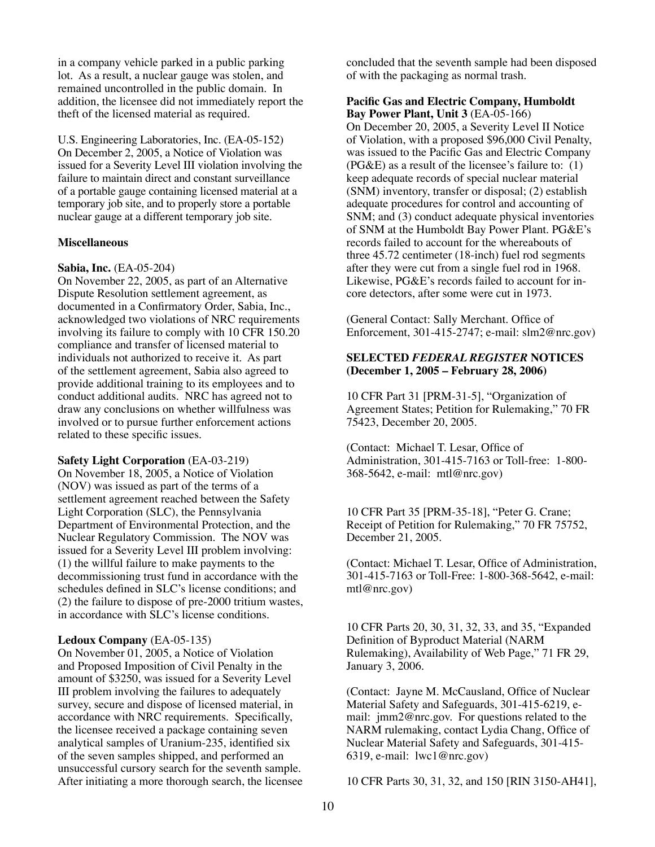in a company vehicle parked in a public parking lot. As a result, a nuclear gauge was stolen, and remained uncontrolled in the public domain. In addition, the licensee did not immediately report the theft of the licensed material as required.

U.S. Engineering Laboratories, Inc. (EA-05-152) On December 2, 2005, a Notice of Violation was issued for a Severity Level III violation involving the failure to maintain direct and constant surveillance of a portable gauge containing licensed material at a temporary job site, and to properly store a portable nuclear gauge at a different temporary job site.

#### **Miscellaneous**

#### **Sabia, Inc.** (EA-05-204)

On November 22, 2005, as part of an Alternative Dispute Resolution settlement agreement, as documented in a Confirmatory Order, Sabia, Inc., acknowledged two violations of NRC requirements involving its failure to comply with 10 CFR 150.20 compliance and transfer of licensed material to individuals not authorized to receive it. As part of the settlement agreement, Sabia also agreed to provide additional training to its employees and to conduct additional audits. NRC has agreed not to draw any conclusions on whether willfulness was involved or to pursue further enforcement actions related to these specific issues.

#### **Safety Light Corporation** (EA-03-219)

On November 18, 2005, a Notice of Violation (NOV) was issued as part of the terms of a settlement agreement reached between the Safety Light Corporation (SLC), the Pennsylvania Department of Environmental Protection, and the Nuclear Regulatory Commission. The NOV was issued for a Severity Level III problem involving: (1) the willful failure to make payments to the decommissioning trust fund in accordance with the schedules defined in SLC's license conditions; and (2) the failure to dispose of pre-2000 tritium wastes, in accordance with SLC's license conditions.

#### **Ledoux Company** (EA-05-135)

On November 01, 2005, a Notice of Violation and Proposed Imposition of Civil Penalty in the amount of \$3250, was issued for a Severity Level III problem involving the failures to adequately survey, secure and dispose of licensed material, in accordance with NRC requirements. Specifically, the licensee received a package containing seven analytical samples of Uranium-235, identified six of the seven samples shipped, and performed an unsuccessful cursory search for the seventh sample. After initiating a more thorough search, the licensee concluded that the seventh sample had been disposed of with the packaging as normal trash.

#### **Pacific Gas and Electric Company, Humboldt Bay Power Plant, Unit 3** (EA-05-166)

On December 20, 2005, a Severity Level II Notice of Violation, with a proposed \$96,000 Civil Penalty, was issued to the Pacific Gas and Electric Company (PG&E) as a result of the licensee's failure to: (1) keep adequate records of special nuclear material (SNM) inventory, transfer or disposal; (2) establish adequate procedures for control and accounting of SNM; and (3) conduct adequate physical inventories of SNM at the Humboldt Bay Power Plant. PG&E's records failed to account for the whereabouts of three 45.72 centimeter (18-inch) fuel rod segments after they were cut from a single fuel rod in 1968. Likewise, PG&E's records failed to account for incore detectors, after some were cut in 1973.

(General Contact: Sally Merchant. Office of Enforcement, 301-415-2747; e-mail: slm2@nrc.gov)

# **SELECTED** *FEDERAL REGISTER* **NOTICES (December 1, 2005 – February 28, 2006)**

10 CFR Part 31 [PRM-31-5], "Organization of Agreement States; Petition for Rulemaking," 70 FR 75423, December 20, 2005.

(Contact: Michael T. Lesar, Office of Administration, 301-415-7163 or Toll-free: 1-800- 368-5642, e-mail: mtl@nrc.gov)

10 CFR Part 35 [PRM-35-18], "Peter G. Crane; Receipt of Petition for Rulemaking," 70 FR 75752, December 21, 2005.

(Contact: Michael T. Lesar, Office of Administration, 301-415-7163 or Toll-Free: 1-800-368-5642, e-mail: mtl@nrc.gov)

10 CFR Parts 20, 30, 31, 32, 33, and 35, "Expanded Definition of Byproduct Material (NARM Rulemaking), Availability of Web Page," 71 FR 29, January 3, 2006.

(Contact: Jayne M. McCausland, Office of Nuclear Material Safety and Safeguards, 301-415-6219, email: jmm2@nrc.gov. For questions related to the NARM rulemaking, contact Lydia Chang, Office of Nuclear Material Safety and Safeguards, 301-415- 6319, e-mail: lwc1@nrc.gov)

10 CFR Parts 30, 31, 32, and 150 [RIN 3150-AH41],